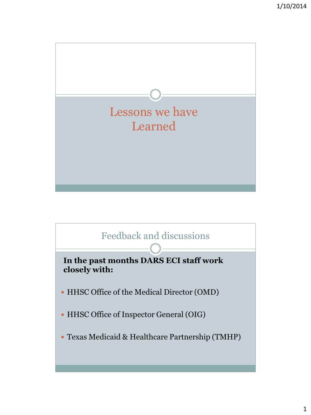

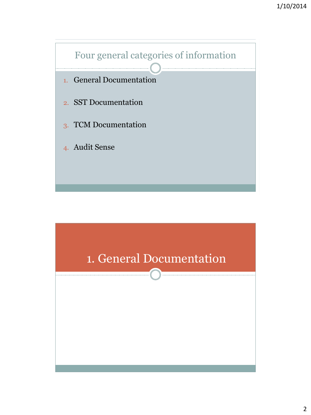

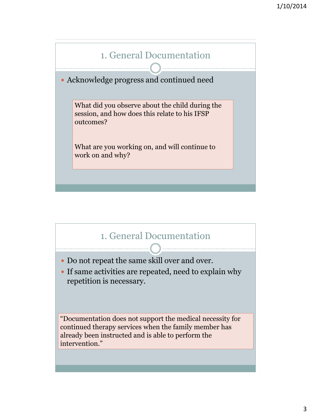

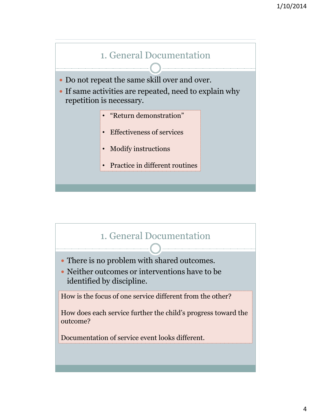

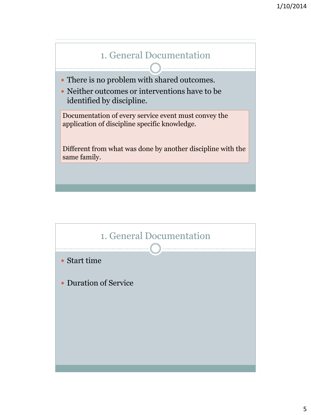

There is no problem with shared outcomes.

 Neither outcomes or interventions have to be identified by discipline.

Documentation of every service event must convey the application of discipline specific knowledge.

Different from what was done by another discipline with the same family.

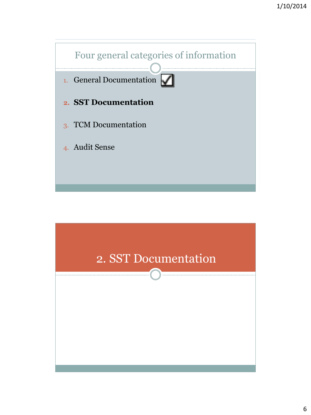

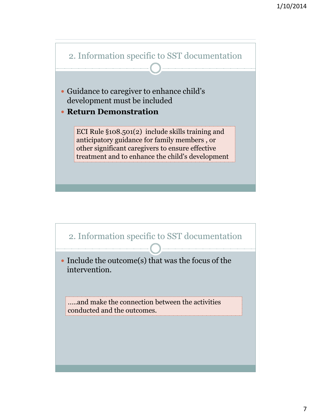

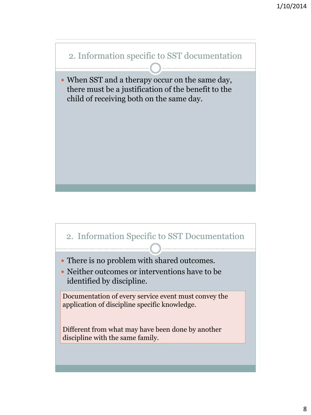

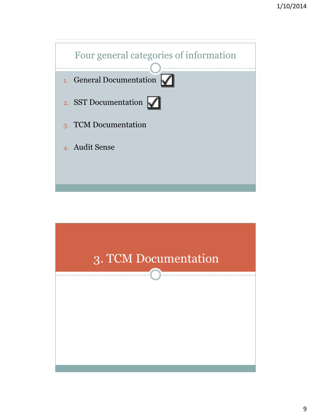

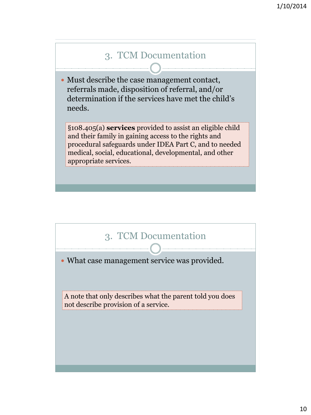## 3. TCM Documentation

 Must describe the case management contact, referrals made, disposition of referral, and/or determination if the services have met the child's needs.

§108.405(a) **services** provided to assist an eligible child and their family in gaining access to the rights and procedural safeguards under IDEA Part C, and to needed medical, social, educational, developmental, and other appropriate services.



A note that only describes what the parent told you does not describe provision of a service.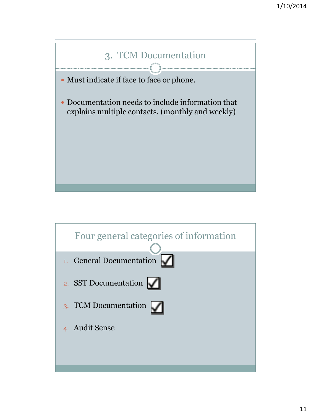

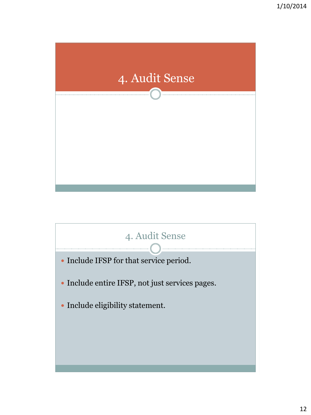

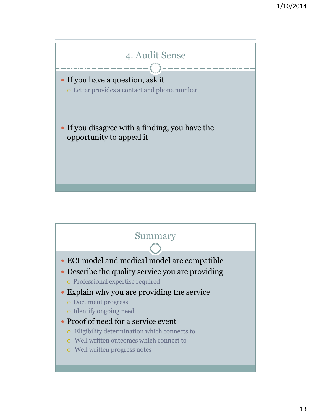